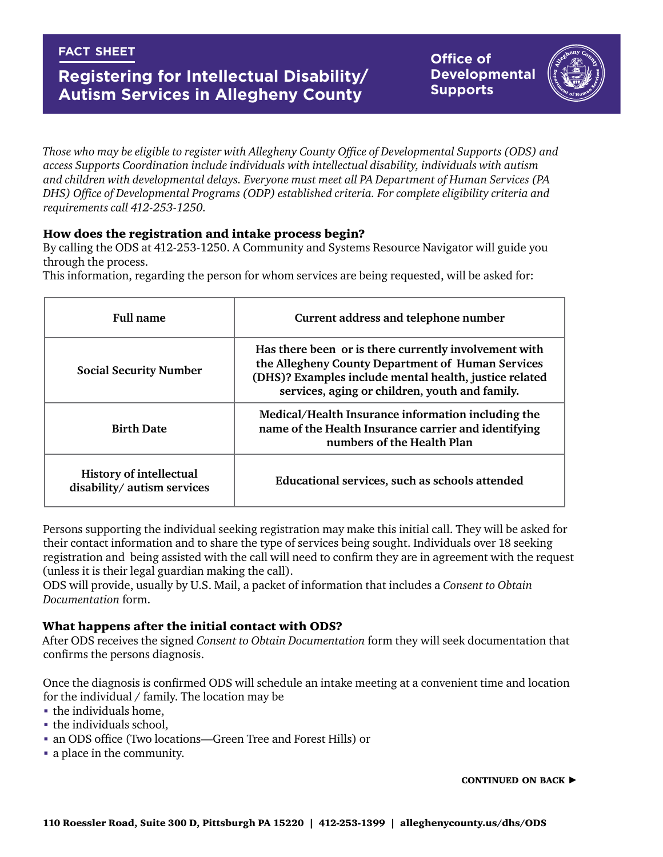## **fact sheet**

# **Registering for Intellectual Disability/ Autism Services in Allegheny County**

**Office of Developmental Supports**



*Those who may be eligible to register with Allegheny County Office of Developmental Supports (ODS) and access Supports Coordination include individuals with intellectual disability, individuals with autism and children with developmental delays. Everyone must meet all PA Department of Human Services (PA DHS) Office of Developmental Programs (ODP) established criteria. For complete eligibility criteria and requirements call 412-253-1250.*

### How does the registration and intake process begin?

By calling the ODS at 412-253-1250. A Community and Systems Resource Navigator will guide you through the process.

This information, regarding the person for whom services are being requested, will be asked for:

| <b>Full name</b>                                              | Current address and telephone number                                                                                                                                                                                   |
|---------------------------------------------------------------|------------------------------------------------------------------------------------------------------------------------------------------------------------------------------------------------------------------------|
| <b>Social Security Number</b>                                 | Has there been or is there currently involvement with<br>the Allegheny County Department of Human Services<br>(DHS)? Examples include mental health, justice related<br>services, aging or children, youth and family. |
| <b>Birth Date</b>                                             | Medical/Health Insurance information including the<br>name of the Health Insurance carrier and identifying<br>numbers of the Health Plan                                                                               |
| <b>History of intellectual</b><br>disability/ autism services | Educational services, such as schools attended                                                                                                                                                                         |

Persons supporting the individual seeking registration may make this initial call. They will be asked for their contact information and to share the type of services being sought. Individuals over 18 seeking registration and being assisted with the call will need to confirm they are in agreement with the request (unless it is their legal guardian making the call).

ODS will provide, usually by U.S. Mail, a packet of information that includes a *Consent to Obtain Documentation* form.

#### What happens after the initial contact with ODS?

After ODS receives the signed *Consent to Obtain Documentation* form they will seek documentation that confirms the persons diagnosis.

Once the diagnosis is confirmed ODS will schedule an intake meeting at a convenient time and location for the individual / family. The location may be

- the individuals home,
- **the individuals school,**
- an ODS office (Two locations—Green Tree and Forest Hills) or
- a place in the community.

CONTINUED ON BACK  $\blacktriangleright$